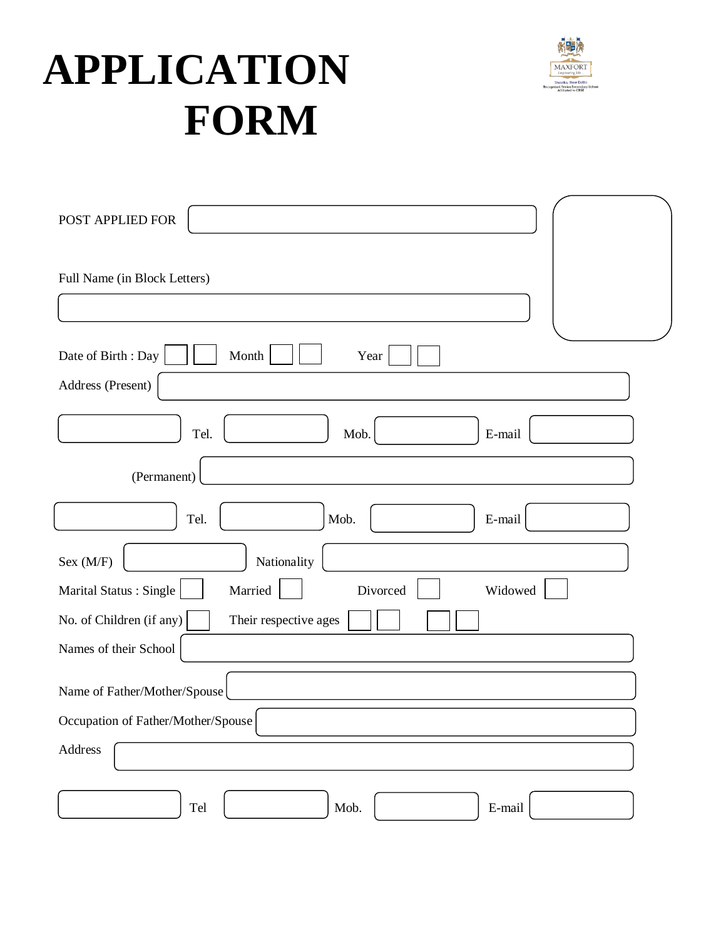# **APPLICATION FORM**



| POST APPLIED FOR                                         |
|----------------------------------------------------------|
| Full Name (in Block Letters)                             |
|                                                          |
| Date of Birth: Day<br>Month<br>Year                      |
| Address (Present)                                        |
| Tel.<br>Mob.<br>E-mail                                   |
| (Permanent)                                              |
| Tel.<br>Mob.<br>E-mail                                   |
| Nationality<br>Sex (M/F)                                 |
| Marital Status: Single<br>Married<br>Divorced<br>Widowed |
| No. of Children (if any)<br>Their respective ages        |
| Names of their School                                    |
| Name of Father/Mother/Spouse                             |
| Occupation of Father/Mother/Spouse                       |
| Address                                                  |
| Tel<br>Mob.<br>E-mail                                    |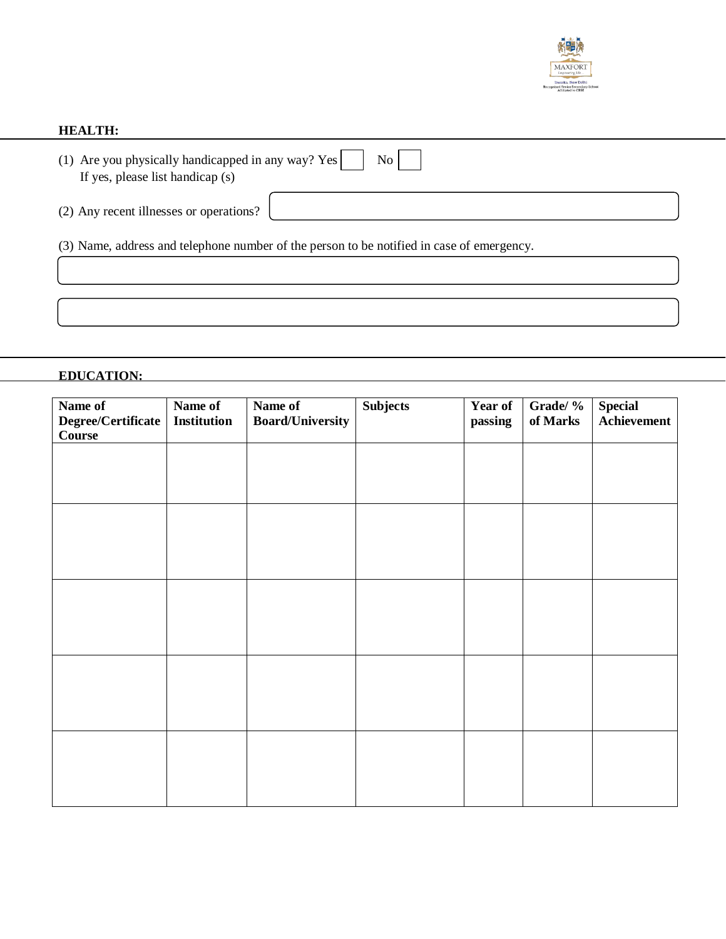

## **HEALTH:**

| (1) Are you physically handicapped in any way? Yes $\vert$<br>If yes, please list handicap (s) | N <sub>0</sub> |
|------------------------------------------------------------------------------------------------|----------------|
| (2) Any recent illnesses or operations? $\vert$                                                |                |

(3) Name, address and telephone number of the person to be notified in case of emergency.

# **EDUCATION:**

| Name of<br>Degree/Certificate<br><b>Course</b> | Name of<br><b>Institution</b> | Name of<br><b>Board/University</b> | <b>Subjects</b> | <b>Year of</b><br>passing | Grade/ %<br>of Marks | <b>Special</b><br>Achievement |
|------------------------------------------------|-------------------------------|------------------------------------|-----------------|---------------------------|----------------------|-------------------------------|
|                                                |                               |                                    |                 |                           |                      |                               |
|                                                |                               |                                    |                 |                           |                      |                               |
|                                                |                               |                                    |                 |                           |                      |                               |
|                                                |                               |                                    |                 |                           |                      |                               |
|                                                |                               |                                    |                 |                           |                      |                               |
|                                                |                               |                                    |                 |                           |                      |                               |
|                                                |                               |                                    |                 |                           |                      |                               |
|                                                |                               |                                    |                 |                           |                      |                               |
|                                                |                               |                                    |                 |                           |                      |                               |
|                                                |                               |                                    |                 |                           |                      |                               |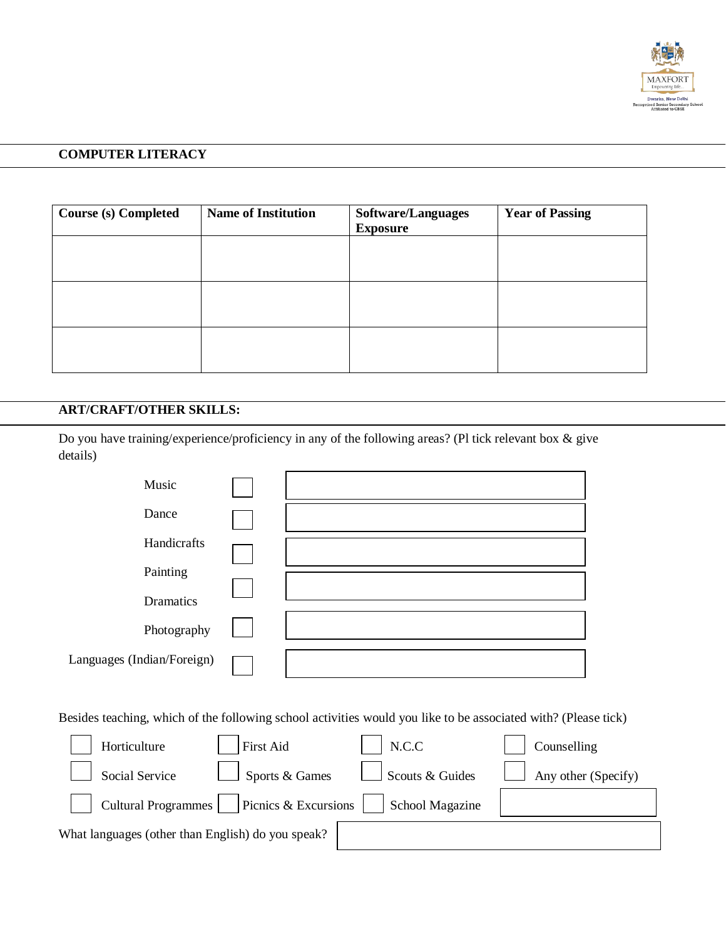

## **COMPUTER LITERACY**

| <b>Course (s) Completed</b> | <b>Name of Institution</b> | Software/Languages<br><b>Exposure</b> | <b>Year of Passing</b> |
|-----------------------------|----------------------------|---------------------------------------|------------------------|
|                             |                            |                                       |                        |
|                             |                            |                                       |                        |
|                             |                            |                                       |                        |
|                             |                            |                                       |                        |

# **ART/CRAFT/OTHER SKILLS:**

Do you have training/experience/proficiency in any of the following areas? (Pl tick relevant box & give details)

| Music                      |  |
|----------------------------|--|
| Dance                      |  |
| Handicrafts                |  |
| Painting                   |  |
| Dramatics                  |  |
| Photography                |  |
| Languages (Indian/Foreign) |  |

Besides teaching, which of the following school activities would you like to be associated with? (Please tick)

| Horticulture                                      | First Aid                                    | N.C.C                  | Counselling                |
|---------------------------------------------------|----------------------------------------------|------------------------|----------------------------|
| Social Service                                    | $\int$ Sports & Games                        | $\Box$ Scouts & Guides | $\Box$ Any other (Specify) |
|                                                   | Cultural Programmes     Picnics & Excursions | School Magazine        |                            |
| What languages (other than English) do you speak? |                                              |                        |                            |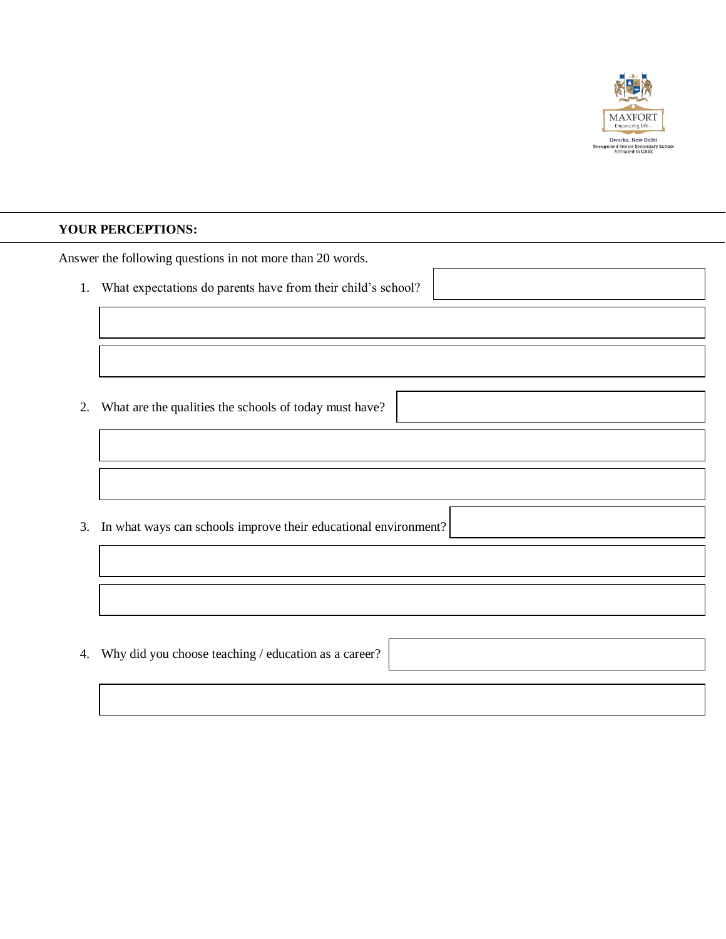

#### **YOUR PERCEPTIONS:**

Answer the following questions in not more than 20 words.

1. What expectations do parents have from their child's school?

2. What are the qualities the schools of today must have?

3. In what ways can schools improve their educational environment?

4. Why did you choose teaching / education as a career?